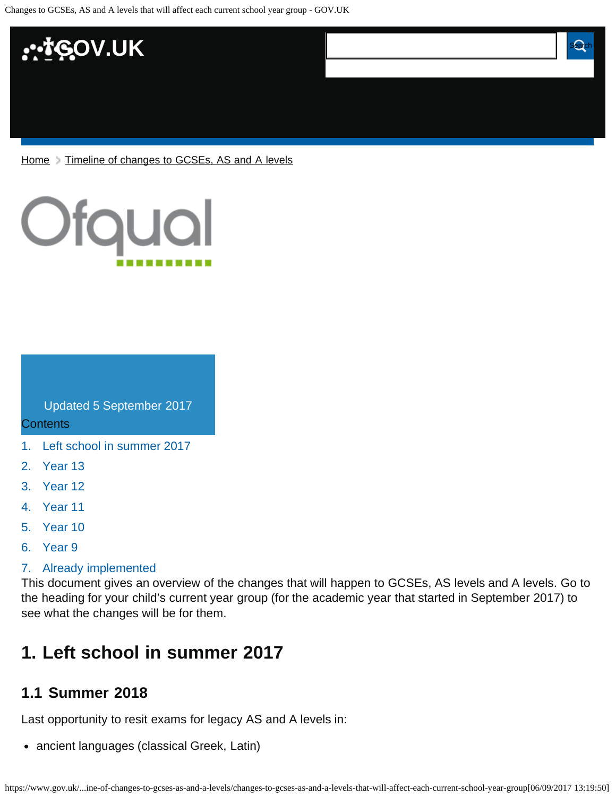

[Home](https://www.gov.uk/) > [Timeline of changes to GCSEs, AS and A levels](https://www.gov.uk/government/publications/timeline-of-changes-to-gcses-as-and-a-levels)



Updated 5 September 2017

**Contents** 

- [1.](#page-0-0) [Left school in summer 2017](#page-0-0)
- [2.](#page-1-0) [Year 13](#page-1-0)
- [3.](#page-2-0) [Year 12](#page-2-0)
- [4.](#page-4-0) [Year 11](#page-4-0)
- [5.](#page-5-0) [Year 10](#page-5-0)
- [6.](#page-6-0) [Year 9](#page-6-0)

#### [7.](#page-6-1) [Already implemented](#page-6-1)

This document gives an overview of the changes that will happen to GCSEs, AS levels and A levels. Go to the heading for your child's current year group (for the academic year that started in September 2017) to see what the changes will be for them.

**Changes to GCSEs, AS and A level state will be a level of the Changes of the A level state will be a level of** 

**affect each current school year group**

# <span id="page-0-0"></span>**1. Left school in summer 2017**

#### **1.1 Summer 2018**

Last opportunity to resit exams for legacy AS and A levels in:

• ancient languages (classical Greek, Latin)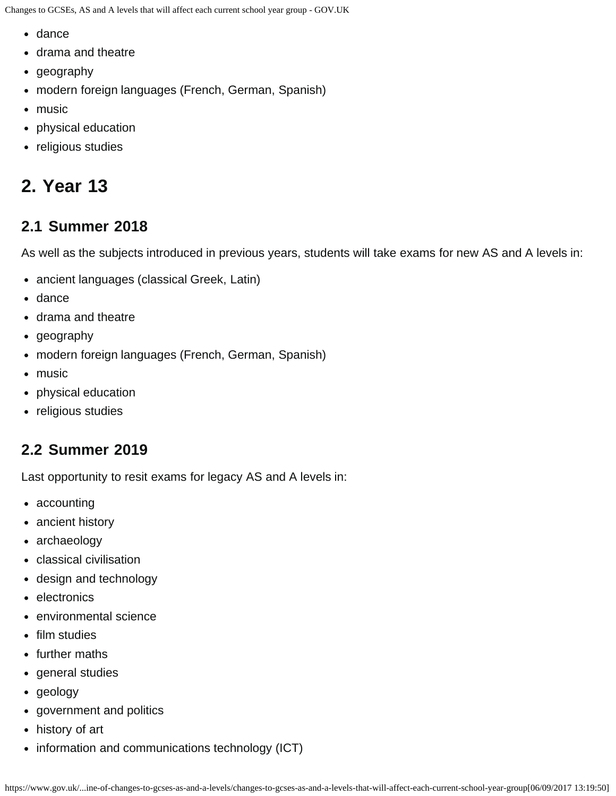- dance
- drama and theatre
- geography
- modern foreign languages (French, German, Spanish)
- music
- physical education
- religious studies

# <span id="page-1-0"></span>**2. Year 13**

### **2.1 Summer 2018**

As well as the subjects introduced in previous years, students will take exams for new AS and A levels in:

- ancient languages (classical Greek, Latin)
- dance
- drama and theatre
- geography
- modern foreign languages (French, German, Spanish)
- music
- physical education
- religious studies

# **2.2 Summer 2019**

Last opportunity to resit exams for legacy AS and A levels in:

- accounting
- ancient history
- archaeology
- classical civilisation
- design and technology
- electronics
- environmental science
- film studies
- further maths
- general studies
- geology
- government and politics
- history of art
- information and communications technology (ICT)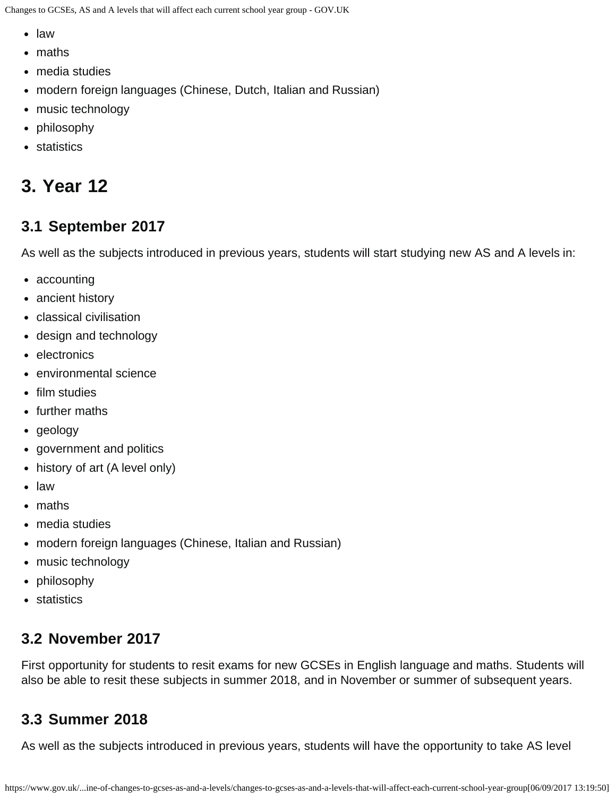- law
- maths
- media studies
- modern foreign languages (Chinese, Dutch, Italian and Russian)
- music technology
- philosophy
- statistics

# <span id="page-2-0"></span>**3. Year 12**

#### **3.1 September 2017**

As well as the subjects introduced in previous years, students will start studying new AS and A levels in:

- accounting
- ancient history
- classical civilisation
- design and technology
- electronics
- environmental science
- film studies
- further maths
- geology
- government and politics
- history of art (A level only)
- law
- maths
- media studies
- modern foreign languages (Chinese, Italian and Russian)
- music technology
- philosophy
- statistics

### **3.2 November 2017**

First opportunity for students to resit exams for new GCSEs in English language and maths. Students will also be able to resit these subjects in summer 2018, and in November or summer of subsequent years.

### **3.3 Summer 2018**

As well as the subjects introduced in previous years, students will have the opportunity to take AS level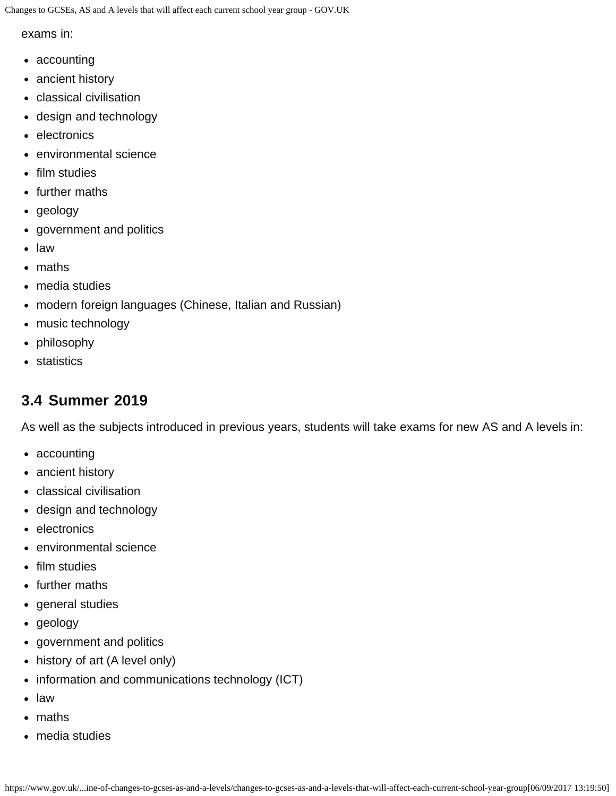exams in:

- accounting
- ancient history
- classical civilisation
- design and technology
- electronics
- environmental science
- film studies
- further maths
- geology
- government and politics
- law
- maths
- media studies
- modern foreign languages (Chinese, Italian and Russian)
- music technology
- philosophy
- statistics

#### **3.4 Summer 2019**

As well as the subjects introduced in previous years, students will take exams for new AS and A levels in:

- accounting
- ancient history
- classical civilisation
- design and technology
- electronics
- environmental science
- film studies
- further maths
- general studies
- geology
- government and politics
- history of art (A level only)
- information and communications technology (ICT)
- law
- maths
- media studies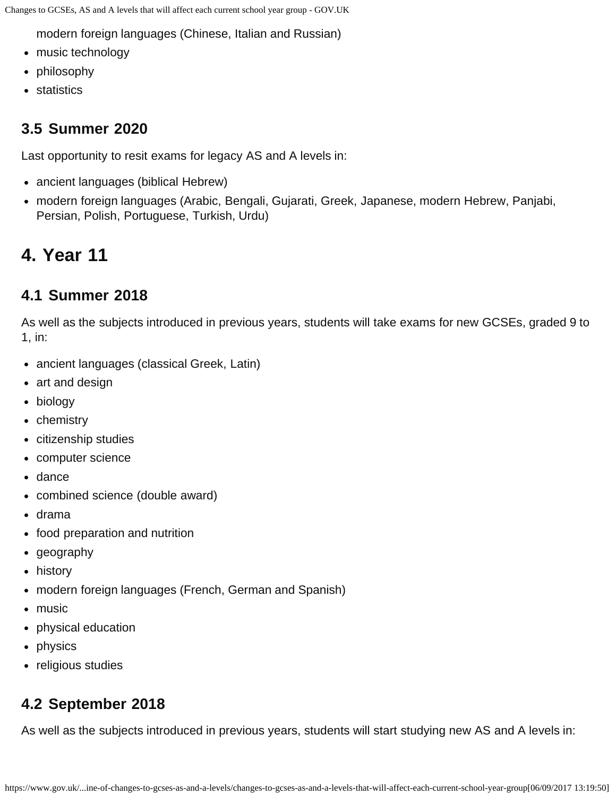modern foreign languages (Chinese, Italian and Russian)

- music technology
- philosophy
- statistics

### **3.5 Summer 2020**

Last opportunity to resit exams for legacy AS and A levels in:

- ancient languages (biblical Hebrew)
- modern foreign languages (Arabic, Bengali, Gujarati, Greek, Japanese, modern Hebrew, Panjabi, Persian, Polish, Portuguese, Turkish, Urdu)

# <span id="page-4-0"></span>**4. Year 11**

### **4.1 Summer 2018**

As well as the subjects introduced in previous years, students will take exams for new GCSEs, graded 9 to 1, in:

- ancient languages (classical Greek, Latin)
- art and design
- biology
- chemistry
- citizenship studies
- computer science
- dance
- combined science (double award)
- drama
- food preparation and nutrition
- geography
- history
- modern foreign languages (French, German and Spanish)
- music
- physical education
- physics
- religious studies

# **4.2 September 2018**

As well as the subjects introduced in previous years, students will start studying new AS and A levels in: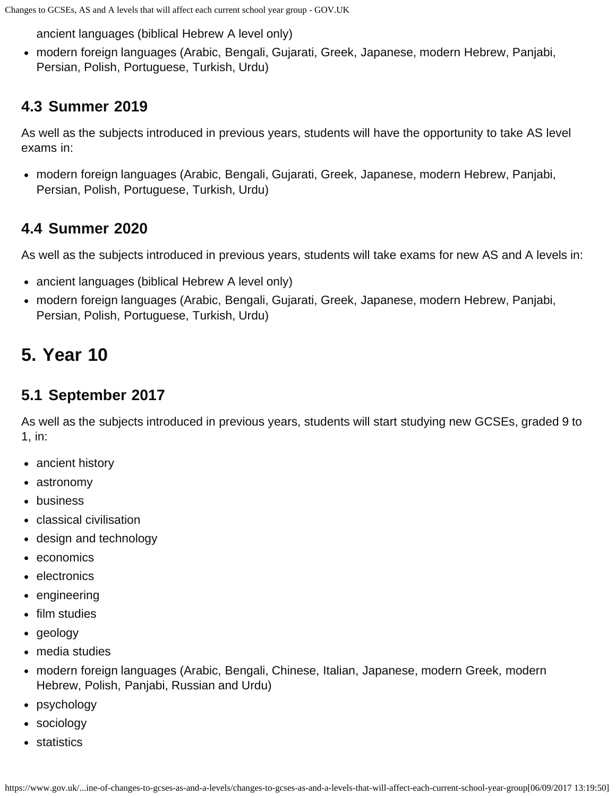ancient languages (biblical Hebrew A level only)

modern foreign languages (Arabic, Bengali, Gujarati, Greek, Japanese, modern Hebrew, Panjabi, Persian, Polish, Portuguese, Turkish, Urdu)

## **4.3 Summer 2019**

As well as the subjects introduced in previous years, students will have the opportunity to take AS level exams in:

modern foreign languages (Arabic, Bengali, Gujarati, Greek, Japanese, modern Hebrew, Panjabi, Persian, Polish, Portuguese, Turkish, Urdu)

# **4.4 Summer 2020**

As well as the subjects introduced in previous years, students will take exams for new AS and A levels in:

- ancient languages (biblical Hebrew A level only)
- modern foreign languages (Arabic, Bengali, Gujarati, Greek, Japanese, modern Hebrew, Panjabi, Persian, Polish, Portuguese, Turkish, Urdu)

# <span id="page-5-0"></span>**5. Year 10**

# **5.1 September 2017**

As well as the subjects introduced in previous years, students will start studying new GCSEs, graded 9 to 1, in:

- ancient history
- astronomy
- business
- classical civilisation
- design and technology
- economics
- electronics
- engineering
- film studies
- geology
- media studies
- modern foreign languages (Arabic, Bengali, Chinese, Italian, Japanese, modern Greek, modern Hebrew, Polish, Panjabi, Russian and Urdu)
- psychology
- sociology
- statistics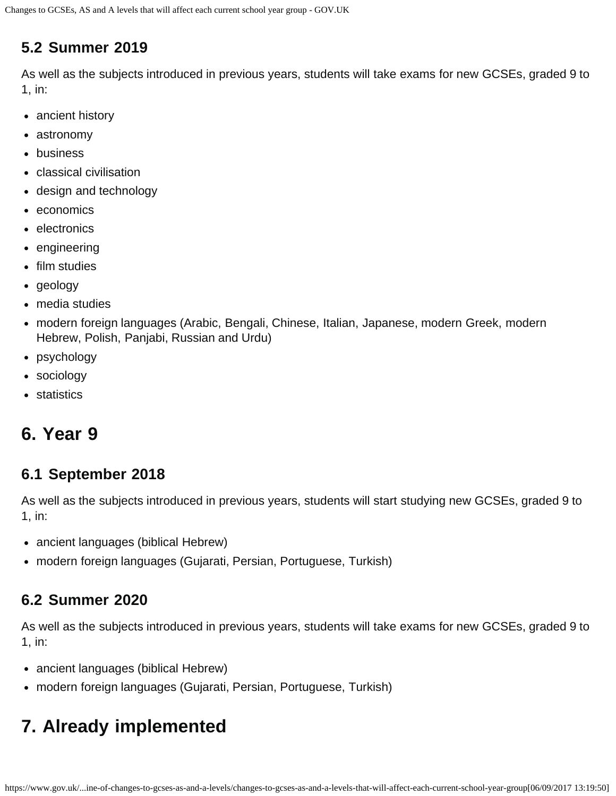#### **5.2 Summer 2019**

As well as the subjects introduced in previous years, students will take exams for new GCSEs, graded 9 to 1, in:

- ancient history
- astronomy
- business
- classical civilisation
- design and technology
- economics
- electronics
- engineering
- film studies
- geology
- media studies
- modern foreign languages (Arabic, Bengali, Chinese, Italian, Japanese, modern Greek, modern Hebrew, Polish, Panjabi, Russian and Urdu)
- psychology
- sociology
- statistics

# <span id="page-6-0"></span>**6. Year 9**

#### **6.1 September 2018**

As well as the subjects introduced in previous years, students will start studying new GCSEs, graded 9 to 1, in:

- ancient languages (biblical Hebrew)
- modern foreign languages (Gujarati, Persian, Portuguese, Turkish)

#### **6.2 Summer 2020**

As well as the subjects introduced in previous years, students will take exams for new GCSEs, graded 9 to 1, in:

- ancient languages (biblical Hebrew)
- modern foreign languages (Gujarati, Persian, Portuguese, Turkish)

# <span id="page-6-1"></span>**7. Already implemented**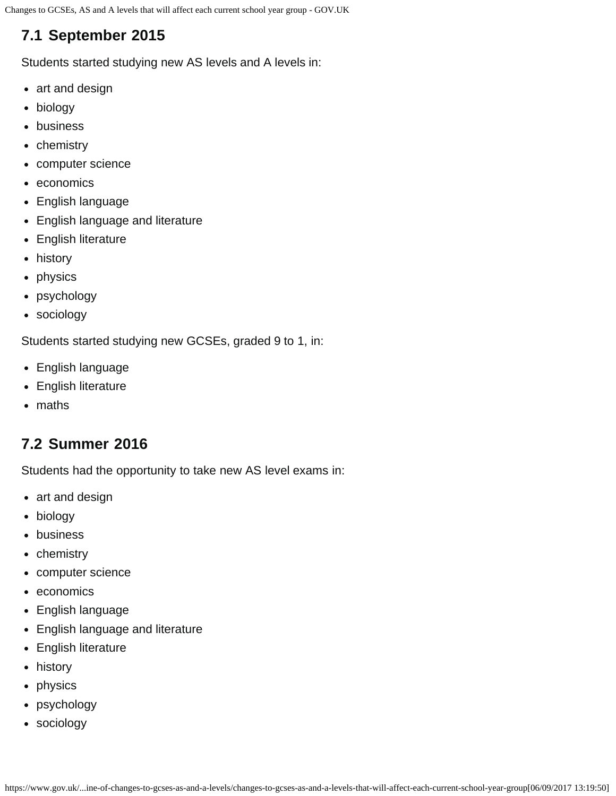# **7.1 September 2015**

Students started studying new AS levels and A levels in:

- art and design
- biology
- business
- chemistry
- computer science
- economics
- English language
- English language and literature
- English literature
- history
- physics
- psychology
- sociology

Students started studying new GCSEs, graded 9 to 1, in:

- English language
- English literature
- maths

### **7.2 Summer 2016**

Students had the opportunity to take new AS level exams in:

- art and design
- biology
- business
- chemistry
- computer science
- economics
- English language
- English language and literature
- English literature
- history
- physics
- psychology
- sociology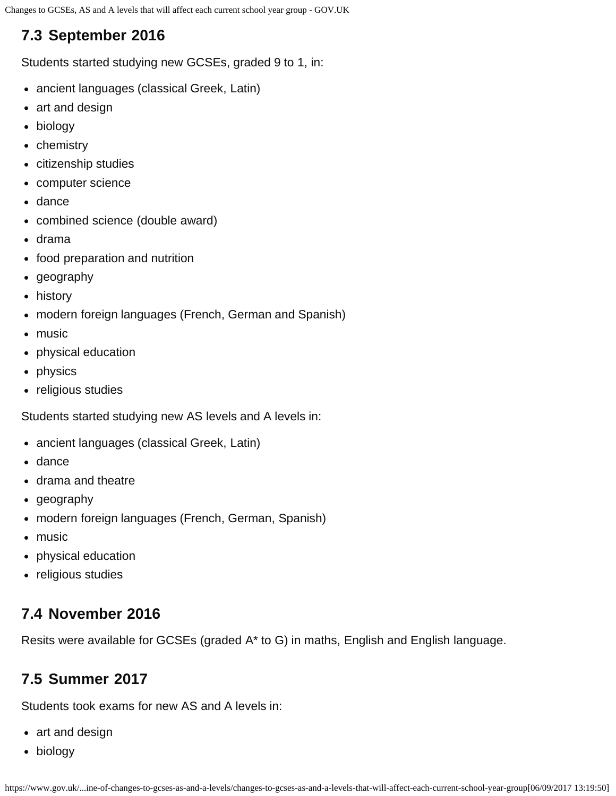# **7.3 September 2016**

Students started studying new GCSEs, graded 9 to 1, in:

- ancient languages (classical Greek, Latin)
- art and design
- biology
- chemistry
- citizenship studies
- computer science
- dance
- combined science (double award)
- drama
- food preparation and nutrition
- geography
- history
- modern foreign languages (French, German and Spanish)
- music
- physical education
- physics
- religious studies

Students started studying new AS levels and A levels in:

- ancient languages (classical Greek, Latin)
- dance
- drama and theatre
- geography
- modern foreign languages (French, German, Spanish)
- music
- physical education
- religious studies

## **7.4 November 2016**

Resits were available for GCSEs (graded A\* to G) in maths, English and English language.

## **7.5 Summer 2017**

Students took exams for new AS and A levels in:

- art and design
- biology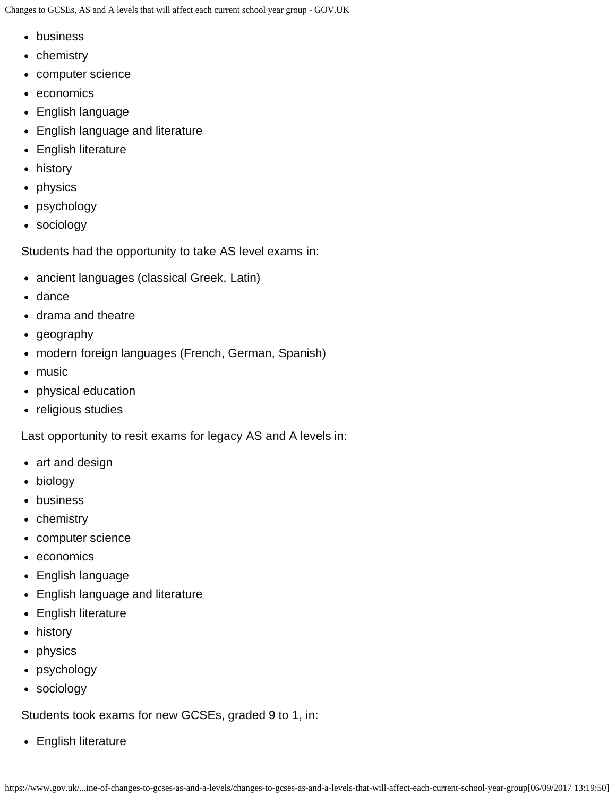- business
- chemistry
- computer science
- economics
- English language
- English language and literature
- English literature
- history
- physics
- psychology
- sociology

Students had the opportunity to take AS level exams in:

- ancient languages (classical Greek, Latin)
- dance
- drama and theatre
- geography
- modern foreign languages (French, German, Spanish)
- music
- physical education
- religious studies

Last opportunity to resit exams for legacy AS and A levels in:

- art and design
- biology
- business
- chemistry
- computer science
- economics
- English language
- English language and literature
- English literature
- history
- physics
- psychology
- sociology

Students took exams for new GCSEs, graded 9 to 1, in:

• English literature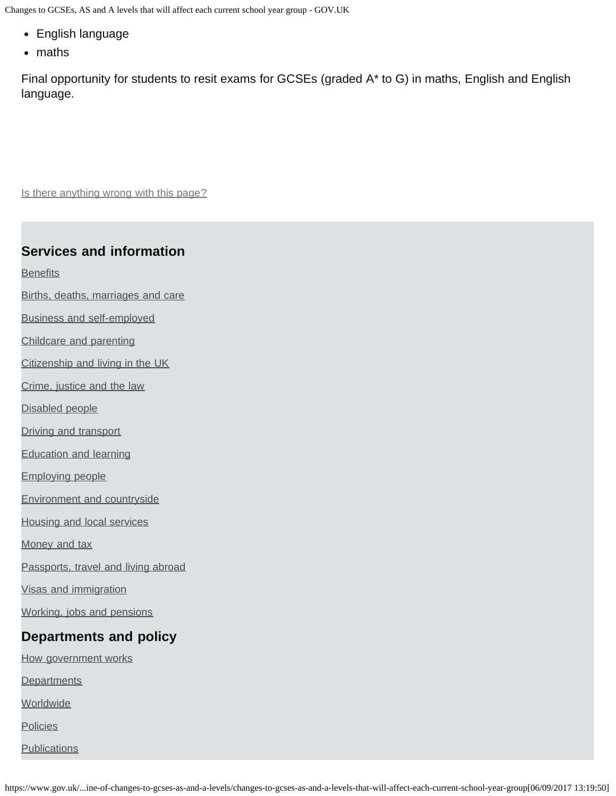- English language
- maths

Final opportunity for students to resit exams for GCSEs (graded A\* to G) in maths, English and English language.

Is there anything wrong with this page?

#### **Services and information**

**[Benefits](https://www.gov.uk/browse/benefits)** 

- [Births, deaths, marriages and care](https://www.gov.uk/browse/births-deaths-marriages)
- [Business and self-employed](https://www.gov.uk/browse/business)
- [Childcare and parenting](https://www.gov.uk/browse/childcare-parenting)
- [Citizenship and living in the UK](https://www.gov.uk/browse/citizenship)
- [Crime, justice and the law](https://www.gov.uk/browse/justice)
- [Disabled people](https://www.gov.uk/browse/disabilities)
- [Driving and transport](https://www.gov.uk/browse/driving)
- [Education and learning](https://www.gov.uk/browse/education)
- [Employing people](https://www.gov.uk/browse/employing-people)
- [Environment and countryside](https://www.gov.uk/browse/environment-countryside)
- [Housing and local services](https://www.gov.uk/browse/housing-local-services)
- [Money and tax](https://www.gov.uk/browse/tax)
- [Passports, travel and living abroad](https://www.gov.uk/browse/abroad)
- [Visas and immigration](https://www.gov.uk/browse/visas-immigration)
- [Working, jobs and pensions](https://www.gov.uk/browse/working)

#### **Departments and policy**

- [How government works](https://www.gov.uk/government/how-government-works)
- **[Departments](https://www.gov.uk/government/organisations)**
- **[Worldwide](https://www.gov.uk/government/world)**
- **[Policies](https://www.gov.uk/government/policies)**
- **[Publications](https://www.gov.uk/government/publications)**